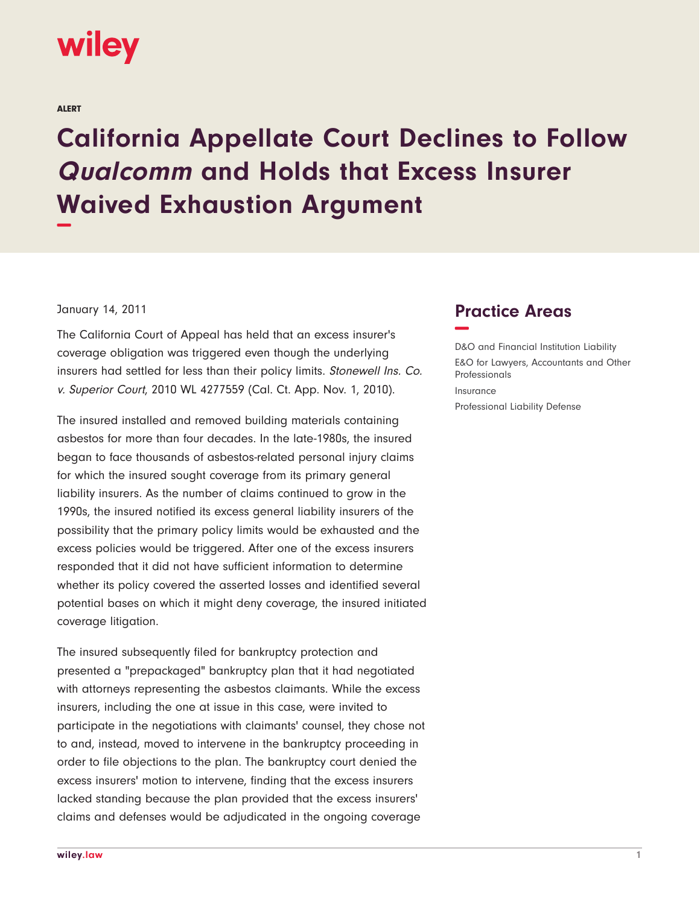

ALERT

## **California Appellate Court Declines to Follow Qualcomm and Holds that Excess Insurer Waived Exhaustion Argument −**

## January 14, 2011

The California Court of Appeal has held that an excess insurer's coverage obligation was triggered even though the underlying insurers had settled for less than their policy limits. Stonewell Ins. Co. v. Superior Court, 2010 WL 4277559 (Cal. Ct. App. Nov. 1, 2010).

The insured installed and removed building materials containing asbestos for more than four decades. In the late-1980s, the insured began to face thousands of asbestos-related personal injury claims for which the insured sought coverage from its primary general liability insurers. As the number of claims continued to grow in the 1990s, the insured notified its excess general liability insurers of the possibility that the primary policy limits would be exhausted and the excess policies would be triggered. After one of the excess insurers responded that it did not have sufficient information to determine whether its policy covered the asserted losses and identified several potential bases on which it might deny coverage, the insured initiated coverage litigation.

The insured subsequently filed for bankruptcy protection and presented a "prepackaged" bankruptcy plan that it had negotiated with attorneys representing the asbestos claimants. While the excess insurers, including the one at issue in this case, were invited to participate in the negotiations with claimants' counsel, they chose not to and, instead, moved to intervene in the bankruptcy proceeding in order to file objections to the plan. The bankruptcy court denied the excess insurers' motion to intervene, finding that the excess insurers lacked standing because the plan provided that the excess insurers' claims and defenses would be adjudicated in the ongoing coverage

## **Practice Areas −**

D&O and Financial Institution Liability E&O for Lawyers, Accountants and Other Professionals Insurance Professional Liability Defense